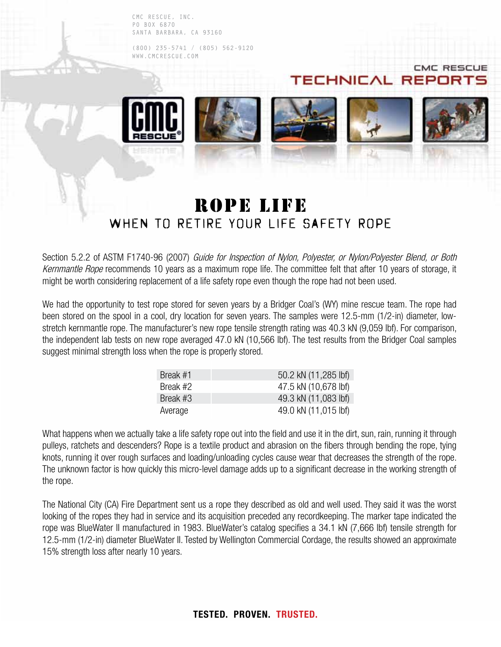CMC RESCUE, INC. PO BOX 6870 SANTA BARBARA, CA 93160

(800) 235-5741 / (805) 562-9120 WWW.CMCRESCUE.COM



**CMC RESCUE** 

## ROPE LIFE WHEN TO RETIRE YOUR LIFE SAFETY ROPE

Section 5.2.2 of ASTM F1740-96 (2007) Guide for Inspection of Nylon, Polyester, or Nylon/Polyester Blend, or Both Kernmantle Rope recommends 10 years as a maximum rope life. The committee felt that after 10 years of storage, it might be worth considering replacement of a life safety rope even though the rope had not been used.

We had the opportunity to test rope stored for seven years by a Bridger Coal's (WY) mine rescue team. The rope had been stored on the spool in a cool, dry location for seven years. The samples were 12.5-mm (1/2-in) diameter, lowstretch kernmantle rope. The manufacturer's new rope tensile strength rating was 40.3 kN (9,059 lbf). For comparison, the independent lab tests on new rope averaged 47.0 kN (10,566 lbf). The test results from the Bridger Coal samples suggest minimal strength loss when the rope is properly stored.

| Break #1 | 50.2 kN (11,285 lbf) |
|----------|----------------------|
| Break #2 | 47.5 kN (10,678 lbf) |
| Break #3 | 49.3 kN (11,083 lbf) |
| Average  | 49.0 kN (11,015 lbf) |

What happens when we actually take a life safety rope out into the field and use it in the dirt, sun, rain, running it through pulleys, ratchets and descenders? Rope is a textile product and abrasion on the fibers through bending the rope, tying knots, running it over rough surfaces and loading/unloading cycles cause wear that decreases the strength of the rope. The unknown factor is how quickly this micro-level damage adds up to a significant decrease in the working strength of the rope.

The National City (CA) Fire Department sent us a rope they described as old and well used. They said it was the worst looking of the ropes they had in service and its acquisition preceded any recordkeeping. The marker tape indicated the rope was BlueWater II manufactured in 1983. BlueWater's catalog specifies a 34.1 kN (7,666 lbf) tensile strength for 12.5-mm (1/2-in) diameter BlueWater II. Tested by Wellington Commercial Cordage, the results showed an approximate 15% strength loss after nearly 10 years.